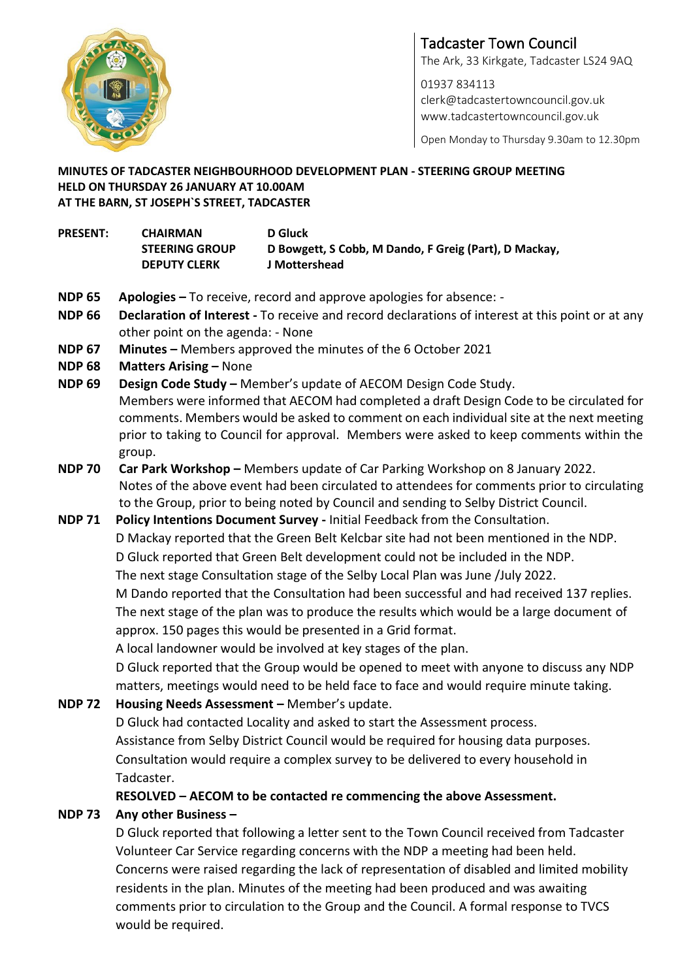

# Tadcaster Town Council The Ark, 33 Kirkgate, Tadcaster LS24 9AQ

01937 834113 [clerk@tadcastertowncouncil.gov.uk](mailto:clerk@tadcastertowncouncil.gov.uk) www.tadcastertowncouncil.gov.uk

Open Monday to Thursday 9.30am to 12.30pm

#### **MINUTES OF TADCASTER NEIGHBOURHOOD DEVELOPMENT PLAN - STEERING GROUP MEETING HELD ON THURSDAY 26 JANUARY AT 10.00AM AT THE BARN, ST JOSEPH`S STREET, TADCASTER**

| <b>PRESENT:</b> | <b>CHAIRMAN</b>       | <b>D</b> Gluck                                        |
|-----------------|-----------------------|-------------------------------------------------------|
|                 | <b>STEERING GROUP</b> | D Bowgett, S Cobb, M Dando, F Greig (Part), D Mackay, |
|                 | <b>DEPUTY CLERK</b>   | J Mottershead                                         |

- **NDP 65 Apologies –** To receive, record and approve apologies for absence: -
- **NDP 66 Declaration of Interest -** To receive and record declarations of interest at this point or at any other point on the agenda: - None
- **NDP 67 Minutes –** Members approved the minutes of the 6 October 2021
- **NDP 68 Matters Arising –** None
- **NDP 69 Design Code Study –** Member's update of AECOM Design Code Study. Members were informed that AECOM had completed a draft Design Code to be circulated for comments. Members would be asked to comment on each individual site at the next meeting prior to taking to Council for approval. Members were asked to keep comments within the group.
- **NDP 70 Car Park Workshop –** Members update of Car Parking Workshop on 8 January 2022. Notes of the above event had been circulated to attendees for comments prior to circulating to the Group, prior to being noted by Council and sending to Selby District Council.

### **NDP 71 Policy Intentions Document Survey -** Initial Feedback from the Consultation. D Mackay reported that the Green Belt Kelcbar site had not been mentioned in the NDP. D Gluck reported that Green Belt development could not be included in the NDP. The next stage Consultation stage of the Selby Local Plan was June /July 2022. M Dando reported that the Consultation had been successful and had received 137 replies. The next stage of the plan was to produce the results which would be a large document of approx. 150 pages this would be presented in a Grid format. A local landowner would be involved at key stages of the plan. D Gluck reported that the Group would be opened to meet with anyone to discuss any NDP matters, meetings would need to be held face to face and would require minute taking.

## **NDP 72 Housing Needs Assessment –** Member's update. D Gluck had contacted Locality and asked to start the Assessment process. Assistance from Selby District Council would be required for housing data purposes.

Consultation would require a complex survey to be delivered to every household in Tadcaster.

**RESOLVED – AECOM to be contacted re commencing the above Assessment.**

### **NDP 73 Any other Business –**

D Gluck reported that following a letter sent to the Town Council received from Tadcaster Volunteer Car Service regarding concerns with the NDP a meeting had been held. Concerns were raised regarding the lack of representation of disabled and limited mobility residents in the plan. Minutes of the meeting had been produced and was awaiting comments prior to circulation to the Group and the Council. A formal response to TVCS would be required.